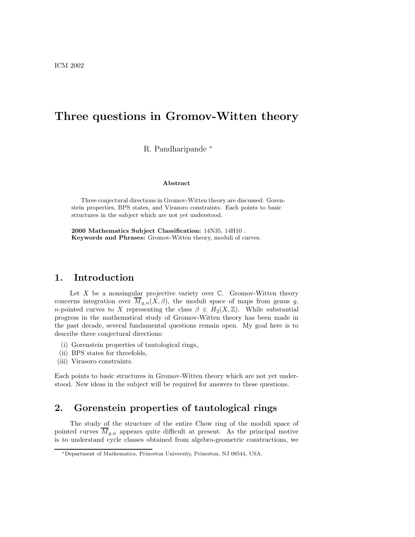# Three questions in Gromov-Witten theory

### R. Pandharipande <sup>∗</sup>

#### Abstract

Three conjectural directions in Gromov-Witten theory are discussed: Gorenstein properties, BPS states, and Virasoro constraints. Each points to basic structures in the subject which are not yet understood.

2000 Mathematics Subject Classification: 14N35, 14H10 . Keywords and Phrases: Gromov-Witten theory, moduli of curves.

### 1. Introduction

Let  $X$  be a nonsingular projective variety over  $\mathbb{C}$ . Gromov-Witten theory concerns integration over  $\overline{M}_{g,n}(X,\beta)$ , the moduli space of maps from genus g, *n*-pointed curves to X representing the class  $\beta \in H_2(X,\mathbb{Z})$ . While substantial progress in the mathematical study of Gromov-Witten theory has been made in the past decade, several fundamental questions remain open. My goal here is to describe three conjectural directions:

- (i) Gorenstein properties of tautological rings,
- (ii) BPS states for threefolds,
- (iii) Virasoro constraints.

Each points to basic structures in Gromov-Witten theory which are not yet understood. New ideas in the subject will be required for answers to these questions.

# 2. Gorenstein properties of tautological rings

The study of the structure of the entire Chow ring of the moduli space of pointed curves  $\overline{M}_{g,n}$  appears quite difficult at present. As the principal motive is to understand cycle classes obtained from algebro-geometric constructions, we

<sup>∗</sup>Department of Mathematics, Princeton University, Princeton, NJ 08544, USA.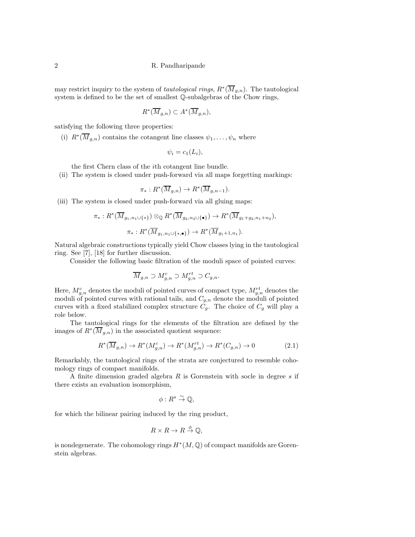may restrict inquiry to the system of *tautological rings*,  $R^*(\overline{M}_{g,n})$ . The tautological system is defined to be the set of smallest Q-subalgebras of the Chow rings,

$$
R^*(\overline{M}_{g,n}) \subset A^*(\overline{M}_{g,n}),
$$

satisfying the following three properties:

(i)  $R^*(\overline{M}_{g,n})$  contains the cotangent line classes  $\psi_1,\ldots,\psi_n$  where

$$
\psi_i = c_1(L_i),
$$

the first Chern class of the ith cotangent line bundle.

(ii) The system is closed under push-forward via all maps forgetting markings:

$$
\pi_*: R^*(\overline{M}_{g,n}) \to R^*(\overline{M}_{g,n-1}).
$$

(iii) The system is closed under push-forward via all gluing maps:

$$
\pi_*: R^*(\overline{M}_{g_1, n_1 \cup \{*\}}) \otimes_{\mathbb{Q}} R^*(\overline{M}_{g_2, n_2 \cup \{\bullet\}}) \to R^*(\overline{M}_{g_1+g_2, n_1+n_2}),
$$

$$
\pi_*: R^*(\overline{M}_{g_1, n_1 \cup \{*,\bullet\}}) \to R^*(\overline{M}_{g_1+1, n_1}).
$$

Natural algebraic constructions typically yield Chow classes lying in the tautological ring. See [7], [18] for further discussion.

Consider the following basic filtration of the moduli space of pointed curves:

$$
\overline{M}_{g,n} \supset M_{g,n}^c \supset M_{g,n}^{rt} \supset C_{g,n}.
$$

Here,  $M_{g,n}^c$  denotes the moduli of pointed curves of compact type,  $M_{g,n}^{rt}$  denotes the moduli of pointed curves with rational tails, and  $C_{g,n}$  denote the moduli of pointed curves with a fixed stabilized complex structure  $C_q$ . The choice of  $C_q$  will play a role below.

The tautological rings for the elements of the filtration are defined by the images of  $R^*(\overline{M}_{g,n})$  in the associated quotient sequence:

$$
R^*(\overline{M}_{g,n}) \to R^*(M^c_{g,n}) \to R^*(M^{rt}_{g,n}) \to R^*(C_{g,n}) \to 0 \tag{2.1}
$$

Remarkably, the tautological rings of the strata are conjectured to resemble cohomology rings of compact manifolds.

A finite dimension graded algebra  $R$  is Gorenstein with socle in degree  $s$  if there exists an evaluation isomorphism,

$$
\phi: R^s \overset{\sim}{\to} \mathbb{Q},
$$

for which the bilinear pairing induced by the ring product,

$$
R \times R \to R \stackrel{\phi}{\to} \mathbb{Q},
$$

is nondegenerate. The cohomology rings  $H^*(M, \mathbb{Q})$  of compact manifolds are Gorenstein algebras.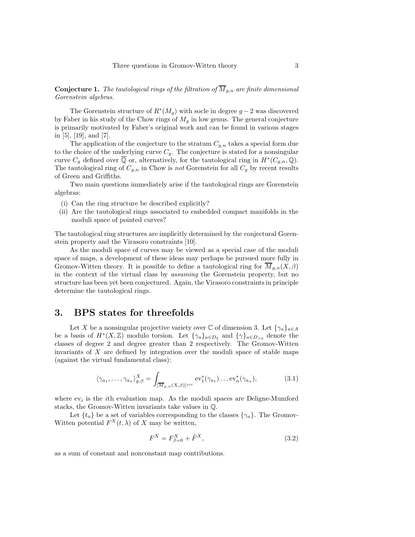**Conjecture 1.** The tautological rings of the filtration of  $\overline{M}_{g,n}$  are finite dimensional Gorenstein algebras.

The Gorenstein structure of  $R^*(M_g)$  with socle in degree  $g-2$  was discovered by Faber in his study of the Chow rings of  $M<sub>g</sub>$  in low genus. The general conjecture is primarily motivated by Faber's original work and can be found in various stages in [5], [19], and [7].

The application of the conjecture to the stratum  $C_{g,n}$  takes a special form due to the choice of the underlying curve  $C_g$ . The conjecture is stated for a nonsingular curve  $C_g$  defined over  $\overline{\mathbb{Q}}$  or, alternatively, for the tautological ring in  $H^*(C_{g,n}, \mathbb{Q})$ . The tautological ring of  $C_{g,n}$  in Chow is not Gorenstein for all  $C_g$  by recent results of Green and Griffiths.

Two main questions immediately arise if the tautological rings are Gorenstein algebras:

- (i) Can the ring structure be described explicitly?
- (ii) Are the tautological rings associated to embedded compact manifolds in the moduli space of pointed curves?

The tautological ring structures are implicitly determined by the conjectural Gorenstein property and the Virasoro constraints [10].

As the moduli space of curves may be viewed as a special case of the moduli space of maps, a development of these ideas may perhaps be pursued more fully in Gromov-Witten theory. It is possible to define a tautological ring for  $M_{g,n}(X,\beta)$ in the context of the virtual class by assuming the Gorenstein property, but no structure has been yet been conjectured. Again, the Virasoro constraints in principle determine the tautological rings.

# 3. BPS states for threefolds

Let X be a nonsingular projective variety over  $\mathbb C$  of dimension 3. Let  $\{\gamma_a\}_{a \in A}$ be a basis of  $H^*(X,\mathbb{Z})$  modulo torsion. Let  $\{\gamma_a\}_{a\in D_2}$  and  $\{\gamma\}_{a\in D_{>2}}$  denote the classes of degree 2 and degree greater than 2 respectively. The Gromov-Witten invariants of  $X$  are defined by integration over the moduli space of stable maps (against the virtual fundamental class):

$$
\langle \gamma_{a_1}, \dots, \gamma_{a_n} \rangle_{g,\beta}^X = \int_{[\overline{M}_{g,n}(X,\beta)]^{vir}} \mathrm{ev}_1^*(\gamma_{a_1}) \dots \mathrm{ev}_n^*(\gamma_{a_n}),\tag{3.1}
$$

where  $ev_i$  is the *i*th evaluation map. As the moduli spaces are Deligne-Mumford stacks, the Gromov-Witten invariants take values in Q.

Let  $\{t_a\}$  be a set of variables corresponding to the classes  $\{\gamma_a\}$ . The Gromov-Witten potential  $F^X(t, \lambda)$  of X may be written,

$$
F^X = F^X_{\beta=0} + \tilde{F}^X,\tag{3.2}
$$

as a sum of constant and nonconstant map contributions.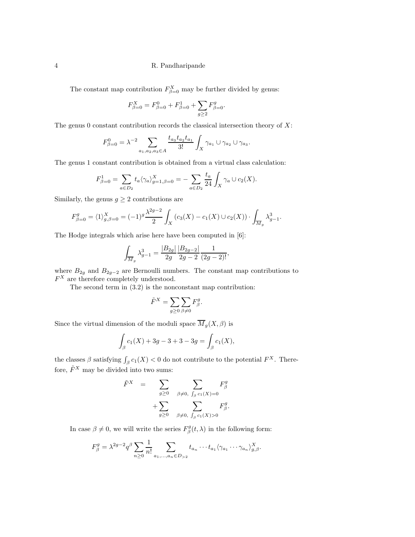The constant map contribution  $F_{\beta=0}^X$  may be further divided by genus:

$$
F_{\beta=0}^X = F_{\beta=0}^0 + F_{\beta=0}^1 + \sum_{g \ge 2} F_{\beta=0}^g.
$$

The genus 0 constant contribution records the classical intersection theory of  $X$ :

$$
F_{\beta=0}^{0} = \lambda^{-2} \sum_{a_1, a_2, a_3 \in A} \frac{t_{a_3} t_{a_2} t_{a_1}}{3!} \int_X \gamma_{a_1} \cup \gamma_{a_2} \cup \gamma_{a_3}.
$$

The genus 1 constant contribution is obtained from a virtual class calculation:

$$
F_{\beta=0}^1 = \sum_{a \in D_2} t_a \langle \gamma_a \rangle_{g=1,\beta=0}^X = -\sum_{a \in D_2} \frac{t_a}{24} \int_X \gamma_a \cup c_2(X).
$$

Similarly, the genus  $g \geq 2$  contributions are

$$
F_{\beta=0}^{g} = \langle 1 \rangle_{g,\beta=0}^{X} = (-1)^{g} \frac{\lambda^{2g-2}}{2} \int_{X} \left( c_3(X) - c_1(X) \cup c_2(X) \right) \cdot \int_{\overline{M}_g} \lambda_{g-1}^3.
$$

The Hodge integrals which arise here have been computed in [6]:

$$
\int_{\overline{M}_g} \lambda_{g-1}^3 = \frac{|B_{2g}|}{2g} \frac{|B_{2g-2}|}{2g-2} \frac{1}{(2g-2)!},
$$

where  $B_{2g}$  and  $B_{2g-2}$  are Bernoulli numbers. The constant map contributions to  $F<sup>X</sup>$  are therefore completely understood.

The second term in (3.2) is the nonconstant map contribution:

$$
\tilde{F}^X = \sum_{g \ge 0} \sum_{\beta \ne 0} F^g_{\beta}.
$$

Since the virtual dimension of the moduli space  $\overline{M}_g(X,\beta)$  is

$$
\int_{\beta} c_1(X) + 3g - 3 + 3 - 3g = \int_{\beta} c_1(X),
$$

the classes  $\beta$  satisfying  $\int_{\beta} c_1(X) < 0$  do not contribute to the potential  $F^X$ . Therefore,  $\tilde{F}^X$  may be divided into two sums:

$$
\begin{array}{rcl}\n\tilde{F}^X &=& \sum_{g \geq 0} & \sum_{\beta \neq 0, \int_{\beta} c_1(X) = 0} F^g_{\beta} \\
&+ \sum_{g \geq 0} & \sum_{\beta \neq 0, \int_{\beta} c_1(X) > 0} F^g_{\beta}.\n\end{array}
$$

In case  $\beta \neq 0$ , we will write the series  $F_{\beta}^{g}(t,\lambda)$  in the following form:

$$
F_{\beta}^{g} = \lambda^{2g-2} q^{\beta} \sum_{n \geq 0} \frac{1}{n!} \sum_{a_1, \dots, a_n \in D_{>2}} t_{a_n} \cdots t_{a_1} \langle \gamma_{a_1} \cdots \gamma_{a_n} \rangle_{g, \beta}^{X}.
$$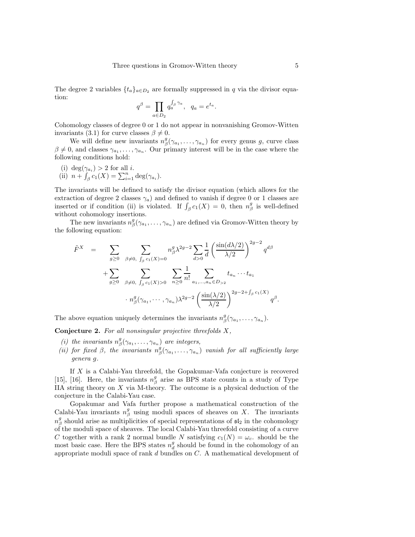The degree 2 variables  $\{t_a\}_{a \in D_2}$  are formally suppressed in q via the divisor equation:

$$
q^{\beta} = \prod_{a \in D_2} q_a^{\int_{\beta} \gamma_a}, \quad q_a = e^{t_a}
$$

.

Cohomology classes of degree 0 or 1 do not appear in nonvanishing Gromov-Witten invariants (3.1) for curve classes  $\beta \neq 0$ .

We will define new invariants  $n_{\beta}^{g}(\gamma_{a_1}, \ldots, \gamma_{a_n})$  for every genus g, curve class  $\beta \neq 0$ , and classes  $\gamma_{a_1}, \ldots, \gamma_{a_n}$ . Our primary interest will be in the case where the following conditions hold:

- (i)  $\deg(\gamma_{a_i}) > 2$  for all *i*.
- (ii)  $n + \int_{\beta}^{R} c_1(X) = \sum_{i=1}^{n} \deg(\gamma_{a_i}).$

The invariants will be defined to satisfy the divisor equation (which allows for the extraction of degree 2 classes  $\gamma_a$ ) and defined to vanish if degree 0 or 1 classes are inserted or if condition (ii) is violated. If  $\int_{\beta} c_1(X) = 0$ , then  $n_{\beta}^g$  is well-defined without cohomology insertions.

The new invariants  $n^g_\beta(\gamma_{a_1}, \ldots, \gamma_{a_n})$  are defined via Gromov-Witten theory by the following equation:

$$
\tilde{F}^{X} = \sum_{g \ge 0} \sum_{\beta \ne 0, \int_{\beta} c_{1}(X) = 0} n_{\beta}^{g} \lambda^{2g-2} \sum_{d > 0} \frac{1}{d} \left( \frac{\sin(d\lambda/2)}{\lambda/2} \right)^{2g-2} q^{d\beta} \n+ \sum_{g \ge 0} \sum_{\beta \ne 0, \int_{\beta} c_{1}(X) > 0} \sum_{n \ge 0} \frac{1}{n!} \sum_{a_{1},...,a_{n} \in D > 2} t_{a_{n}} \cdots t_{a_{1}} \n+ n_{\beta}^{g} (\gamma_{a_{1}}, \cdots, \gamma_{a_{n}}) \lambda^{2g-2} \left( \frac{\sin(\lambda/2)}{\lambda/2} \right)^{2g-2 + \int_{\beta} c_{1}(X)} q^{\beta}.
$$

The above equation uniquely determines the invariants  $n_{\beta}^{g}(\gamma_{a_1}, \ldots, \gamma_{a_n}).$ 

**Conjecture 2.** For all nonsingular projective threefolds  $X$ ,

- (i) the invariants  $n_{\beta}^{g}(\gamma_{a_1}, \ldots, \gamma_{a_n})$  are integers,
- (ii) for fixed  $\beta$ , the invariants  $n^g_\beta(\gamma_{a_1},\ldots,\gamma_{a_n})$  vanish for all sufficiently large genera g.

If X is a Calabi-Yau threefold, the Gopakumar-Vafa conjecture is recovered [15], [16]. Here, the invariants  $n_{\beta}^{g}$  arise as BPS state counts in a study of Type IIA string theory on X via M-theory. The outcome is a physical deduction of the conjecture in the Calabi-Yau case.

Gopakumar and Vafa further propose a mathematical construction of the Calabi-Yau invariants  $n_{\beta}^{g}$  using moduli spaces of sheaves on X. The invariants  $n_{\beta}^{g}$  should arise as multiplicities of special representations of  $\mathfrak{sl}_2$  in the cohomology of the moduli space of sheaves. The local Calabi-Yau threefold consisting of a curve C together with a rank 2 normal bundle N satisfying  $c_1(N) = \omega_c$ . should be the most basic case. Here the BPS states  $n_d^g$  should be found in the cohomology of an appropriate moduli space of rank d bundles on C. A mathematical development of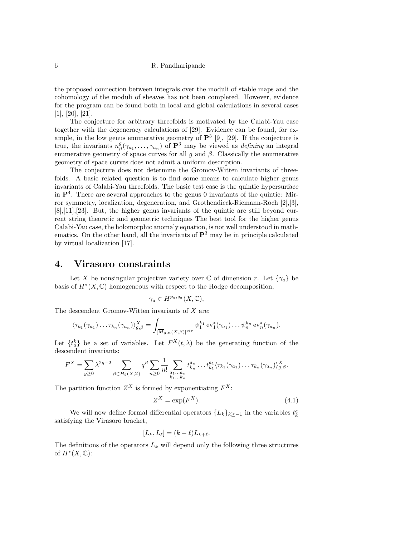the proposed connection between integrals over the moduli of stable maps and the cohomology of the moduli of sheaves has not been completed. However, evidence for the program can be found both in local and global calculations in several cases [1], [20], [21].

The conjecture for arbitrary threefolds is motivated by the Calabi-Yau case together with the degeneracy calculations of [29]. Evidence can be found, for example, in the low genus enumerative geometry of  $\mathbf{P}^3$  [9], [29]. If the conjecture is true, the invariants  $n_{\beta}^{g}(\gamma_{a_1},\ldots,\gamma_{a_n})$  of  $\mathbf{P}^3$  may be viewed as *defining* an integral enumerative geometry of space curves for all g and  $\beta$ . Classically the enumerative geometry of space curves does not admit a uniform description.

The conjecture does not determine the Gromov-Witten invariants of threefolds. A basic related question is to find some means to calculate higher genus invariants of Calabi-Yau threefolds. The basic test case is the quintic hypersurface in  $\mathbf{P}^4$ . There are several approaches to the genus 0 invariants of the quintic: Mirror symmetry, localization, degeneration, and Grothendieck-Riemann-Roch [2],[3],  $[8], [11], [23].$  But, the higher genus invariants of the quintic are still beyond current string theoretic and geometric techniques The best tool for the higher genus Calabi-Yau case, the holomorphic anomaly equation, is not well understood in mathematics. On the other hand, all the invariants of  $\mathbf{P}^3$  may be in principle calculated by virtual localization [17].

### 4. Virasoro constraints

Let X be nonsingular projective variety over  $\mathbb C$  of dimension r. Let  $\{\gamma_a\}$  be basis of  $H^*(X, \mathbb{C})$  homogeneous with respect to the Hodge decomposition,

$$
\gamma_a \in H^{p_a, q_a}(X, \mathbb{C}),
$$

The descendent Gromov-Witten invariants of  $X$  are:

$$
\langle \tau_{k_1}(\gamma_{a_1})\dots \tau_{k_n}(\gamma_{a_n})\rangle_{g,\beta}^X = \int_{\left[\overline{M}_{g,n}(X,\beta)\right]^{\text{vir}}} \psi_1^{k_1} \operatorname{ev}_1^*(\gamma_{a_1})\dots \psi_n^{k_n} \operatorname{ev}_n^*(\gamma_{a_n}).
$$

Let  $\{t_a^k\}$  be a set of variables. Let  $F^X(t,\lambda)$  be the generating function of the descendent invariants:

$$
F^X = \sum_{g\geq 0} \lambda^{2g-2} \sum_{\beta \in H_2(X,\mathbb{Z})} q^{\beta} \sum_{n\geq 0} \frac{1}{n!} \sum_{\substack{a_1\dots a_n\\k_1\dots k_n}} t^{a_n}_{k_n}\dots t^{a_1}_{k_1} \langle \tau_{k_1}(\gamma_{a_1})\dots \tau_{k_n}(\gamma_{a_n}) \rangle^{X}_{g,\beta}.
$$

The partition function  $Z^X$  is formed by exponentiating  $F^X$ :

$$
Z^X = \exp(F^X). \tag{4.1}
$$

We will now define formal differential operators  $\{L_k\}_{k\ge-1}$  in the variables  $t_k^a$ satisfying the Virasoro bracket,

$$
[L_k, L_\ell] = (k - \ell)L_{k+\ell}.
$$

The definitions of the operators  $L_k$  will depend only the following three structures of  $H^*(X,\mathbb{C})$ :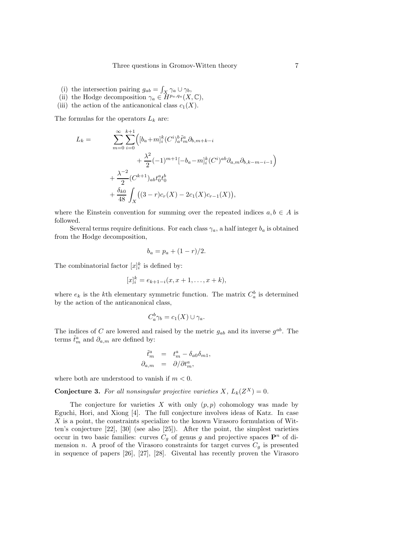- (i) the intersection pairing  $g_{ab} = \int_X \gamma_a \cup \gamma_b$ ,
- (ii) the Hodge decomposition  $\gamma_a \in \widetilde{H}^{p_a,q_a}(X,\mathbb{C}),$
- (iii) the action of the anticanonical class  $c_1(X)$ .

The formulas for the operators  $L_k$  are:

$$
L_k = \sum_{m=0}^{\infty} \sum_{i=0}^{k+1} \Big( [b_a + m]_i^k (C^i)_a^b \tilde{t}_m^a \partial_{b,m+k-i} + \frac{\lambda^2}{2} (-1)^{m+1} [-b_a - m]_i^k (C^i)^{ab} \partial_{a,m} \partial_{b,k-m-i-1} \Big) + \frac{\lambda^{-2}}{2} (C^{k+1})_{ab} t_0^a t_0^b + \frac{\delta_{k0}}{48} \int_X \big( (3-r) c_r(X) - 2c_1(X) c_{r-1}(X) \big),
$$

where the Einstein convention for summing over the repeated indices  $a, b \in A$  is followed.

Several terms require definitions. For each class  $\gamma_a$ , a half integer  $b_a$  is obtained from the Hodge decomposition,

$$
b_a = p_a + (1 - r)/2.
$$

The combinatorial factor  $[x]_i^k$  is defined by:

$$
[x]_i^k = e_{k+1-i}(x, x+1, \dots, x+k),
$$

where  $e_k$  is the k<sup>th</sup> elementary symmetric function. The matrix  $C_a^b$  is determined by the action of the anticanonical class,

$$
C_a^b \gamma_b = c_1(X) \cup \gamma_a.
$$

The indices of C are lowered and raised by the metric  $g_{ab}$  and its inverse  $g^{ab}$ . The terms  $\tilde{t}_m^a$  and  $\partial_{a,m}$  are defined by:

$$
\begin{array}{rcl}\n\tilde{t}^a_m & = & t^a_m - \delta_{a0}\delta_{m1}, \\
\partial_{a,m} & = & \partial/\partial t^a_m,\n\end{array}
$$

where both are understood to vanish if  $m < 0$ .

**Conjecture 3.** For all nonsingular projective varieties X,  $L_k(Z^X) = 0$ .

The conjecture for varieties  $X$  with only  $(p, p)$  cohomology was made by Eguchi, Hori, and Xiong [4]. The full conjecture involves ideas of Katz. In case  $X$  is a point, the constraints specialize to the known Virasoro formulation of Witten's conjecture [22], [30] (see also [25]). After the point, the simplest varieties occur in two basic families: curves  $C_g$  of genus g and projective spaces  $\mathbf{P}^n$  of dimension n. A proof of the Virasoro constraints for target curves  $C_g$  is presented in sequence of papers [26], [27], [28]. Givental has recently proven the Virasoro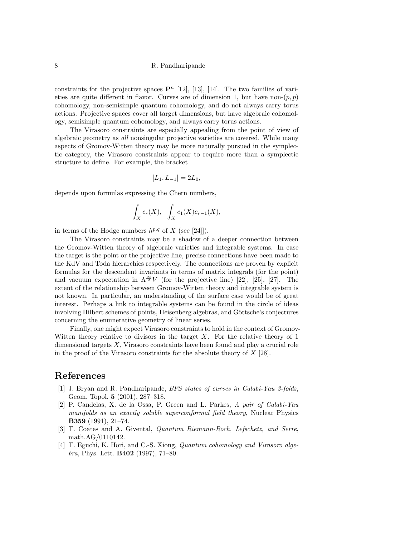constraints for the projective spaces  $\mathbf{P}^n$  [12], [13], [14]. The two families of varieties are quite different in flavor. Curves are of dimension 1, but have non- $(p, p)$ cohomology, non-semisimple quantum cohomology, and do not always carry torus actions. Projective spaces cover all target dimensions, but have algebraic cohomology, semisimple quantum cohomology, and always carry torus actions.

The Virasoro constraints are especially appealing from the point of view of algebraic geometry as all nonsingular projective varieties are covered. While many aspects of Gromov-Witten theory may be more naturally pursued in the symplectic category, the Virasoro constraints appear to require more than a symplectic structure to define. For example, the bracket

$$
[L_1, L_{-1}] = 2L_0,
$$

depends upon formulas expressing the Chern numbers,

$$
\int_X c_r(X), \quad \int_X c_1(X)c_{r-1}(X),
$$

in terms of the Hodge numbers  $h^{p,q}$  of X (see [24]]).

The Virasoro constraints may be a shadow of a deeper connection between the Gromov-Witten theory of algebraic varieties and integrable systems. In case the target is the point or the projective line, precise connections have been made to the KdV and Toda hierarchies respectively. The connections are proven by explicit formulas for the descendent invariants in terms of matrix integrals (for the point) and vacuum expectation in  $\Lambda^{\frac{\infty}{2}}V$  (for the projective line) [22], [25], [27]. The extent of the relationship between Gromov-Witten theory and integrable system is not known. In particular, an understanding of the surface case would be of great interest. Perhaps a link to integrable systems can be found in the circle of ideas involving Hilbert schemes of points, Heisenberg algebras, and Göttsche's conjectures concerning the enumerative geometry of linear series.

Finally, one might expect Virasoro constraints to hold in the context of Gromov-Witten theory relative to divisors in the target  $X$ . For the relative theory of 1 dimensional targets  $X$ , Virasoro constraints have been found and play a crucial role in the proof of the Virasoro constraints for the absolute theory of  $X$  [28].

## References

- [1] J. Bryan and R. Pandharipande, BPS states of curves in Calabi-Yau 3-folds, Geom. Topol. 5 (2001), 287–318.
- [2] P. Candelas, X. de la Ossa, P. Green and L. Parkes, A pair of Calabi-Yau manifolds as an exactly soluble superconformal field theory, Nuclear Physics B359 (1991), 21–74.
- [3] T. Coates and A. Givental, Quantum Riemann-Roch, Lefschetz, and Serre, math.AG/0110142.
- [4] T. Eguchi, K. Hori, and C.-S. Xiong, Quantum cohomology and Virasoro algebra, Phys. Lett. B402 (1997), 71–80.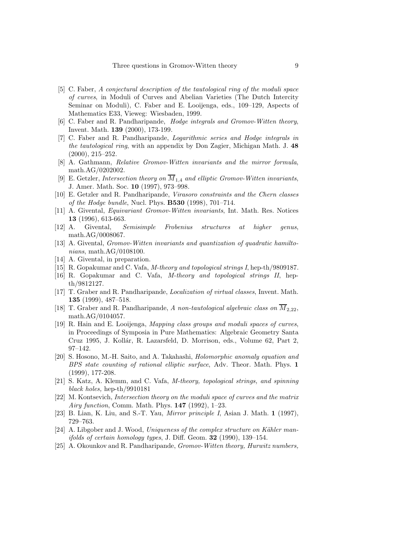- [5] C. Faber, A conjectural description of the tautological ring of the moduli space of curves, in Moduli of Curves and Abelian Varieties (The Dutch Intercity Seminar on Moduli), C. Faber and E. Looijenga, eds., 109–129, Aspects of Mathematics E33, Vieweg: Wiesbaden, 1999.
- [6] C. Faber and R. Pandharipande, Hodge integrals and Gromov-Witten theory, Invent. Math. 139 (2000), 173-199.
- [7] C. Faber and R. Pandharipande, Logarithmic series and Hodge integrals in the tautological ring, with an appendix by Don Zagier, Michigan Math. J. 48 (2000), 215–252.
- [8] A. Gathmann, Relative Gromov-Witten invariants and the mirror formula, math.AG/0202002.
- [9] E. Getzler, Intersection theory on  $\overline{M}_{1,4}$  and elliptic Gromov-Witten invariants, J. Amer. Math. Soc. 10 (1997), 973–998.
- [10] E. Getzler and R. Pandharipande, Virasoro constraints and the Chern classes of the Hodge bundle, Nucl. Phys. B530 (1998), 701–714.
- [11] A. Givental, Equivariant Gromov-Witten invariants, Int. Math. Res. Notices 13 (1996), 613-663.
- [12] A. Givental, Semisimple Frobenius structures at higher genus, math.AG/0008067.
- [13] A. Givental, Gromov-Witten invariants and quantization of quadratic hamiltonians, math.AG/0108100.
- [14] A. Givental, in preparation.
- [15] R. Gopakumar and C. Vafa, M-theory and topological strings I, hep-th/9809187.
- [16] R. Gopakumar and C. Vafa, M-theory and topological strings II, hepth/9812127.
- [17] T. Graber and R. Pandharipande, Localization of virtual classes, Invent. Math. 135 (1999), 487–518.
- [18] T. Graber and R. Pandharipande, A non-tautological algebraic class on  $\overline{M}_{2.22}$ , math.AG/0104057.
- [19] R. Hain and E. Looijenga, Mapping class groups and moduli spaces of curves, in Proceedings of Symposia in Pure Mathematics: Algebraic Geometry Santa Cruz 1995, J. Kollár, R. Lazarsfeld, D. Morrison, eds., Volume 62, Part 2, 97–142.
- [20] S. Hosono, M.-H. Saito, and A. Takahashi, Holomorphic anomaly equation and BPS state counting of rational elliptic surface, Adv. Theor. Math. Phys. 1 (1999), 177-208.
- [21] S. Katz, A. Klemm, and C. Vafa, M-theory, topological strings, and spinning black holes, hep-th/9910181
- [22] M. Kontsevich, Intersection theory on the moduli space of curves and the matrix Airy function, Comm. Math. Phys. 147 (1992), 1–23.
- [23] B. Lian, K. Liu, and S.-T. Yau, Mirror principle I, Asian J. Math. 1 (1997), 729–763.
- $[24]$  A. Libgober and J. Wood, Uniqueness of the complex structure on Kähler man*ifolds of certain homology types, J. Diff. Geom.*  $32$  (1990), 139–154.
- [25] A. Okounkov and R. Pandharipande, Gromov-Witten theory, Hurwitz numbers,